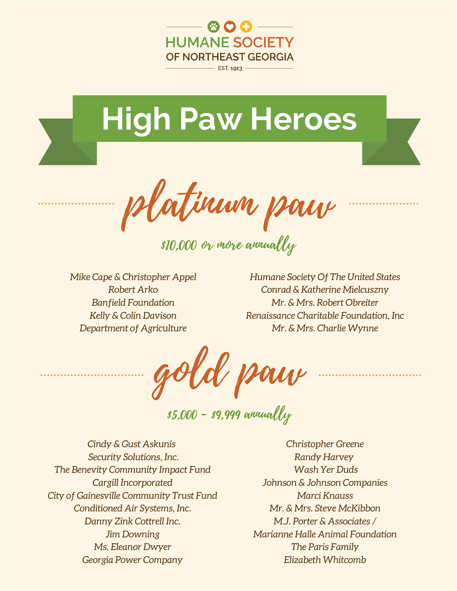

 $-$  EST. 1913 -



platinum paw

\$10,000 or more annually

*Mike Cape & Christopher Appel Robert Arko Banfield Foundation Kelly & Colin Davison Department of Agriculture*

*Humane Society Of The United States Conrad & Katherine Mielcuszny Mr. & Mrs. Robert Obreiter Renaissance Charitable Foundation, Inc Mr. & Mrs. Charlie Wynne*

gold paw

 $$5,000 - $9,999$  annually

*Cindy & Gust Askunis Security Solutions, Inc. The Benevity Community Impact Fund Cargill Incorporated City of Gainesville Community Trust Fund Conditioned Air Systems, Inc. Danny Zink Cottrell Inc. Jim Downing Ms. Eleanor Dwyer Georgia Power Company*

*Christopher Greene Randy Harvey Wash Yer Duds Johnson & Johnson Companies Marci Knauss Mr. & Mrs. Steve McKibbon M.J. Porter & Associates / Marianne Halle Animal Foundation The Paris Family Elizabeth Whitcomb*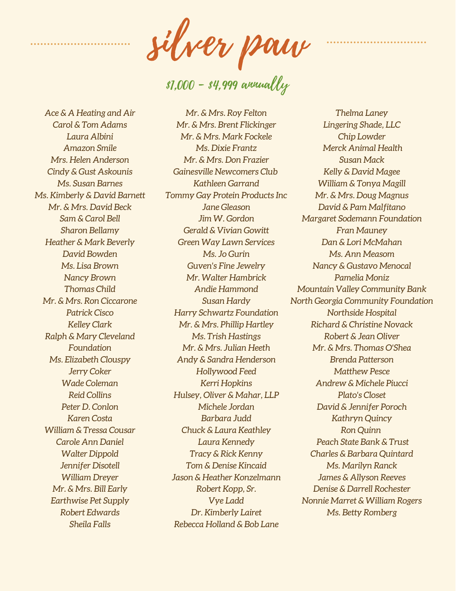silver paw

\$1,000 - \$4,999 annually

*Ace & A Heating and Air Carol & Tom Adams Laura Albini Amazon Smile Mrs. Helen Anderson Cindy & Gust Askounis Ms. Susan Barnes Ms. Kimberly & David Barnett Mr. & Mrs. David Beck Sam & Carol Bell Sharon Bellamy Heather & Mark Beverly David Bowden Ms. Lisa Brown Nancy Brown Thomas Child Mr. & Mrs. Ron Ciccarone Patrick Cisco Kelley Clark Ralph & Mary Cleveland Foundation Ms. Elizabeth Clouspy Jerry Coker Wade Coleman Reid Collins Peter D. Conlon Karen Costa William & Tressa Cousar Carole Ann Daniel Walter Dippold Jennifer Disotell William Dreyer Mr. & Mrs. Bill Early Earthwise Pet Supply Robert Edwards Sheila Falls*

*Mr. & Mrs. Roy Felton Mr. & Mrs. Brent Flickinger Mr. & Mrs. Mark Fockele Ms. Dixie Frantz Mr. & Mrs. Don Frazier Gainesville Newcomers Club Kathleen Garrand Tommy Gay Protein Products Inc Jane Gleason Jim W. Gordon Gerald & Vivian Gowitt Green Way Lawn Services Ms. Jo Gurin Guven's Fine Jewelry Mr. Walter Hambrick Andie Hammond Susan Hardy Harry Schwartz Foundation Mr. & Mrs. Phillip Hartley Ms. Trish Hastings Mr. & Mrs. Julian Heeth Andy & Sandra Henderson Hollywood Feed Kerri Hopkins Hulsey, Oliver & Mahar, LLP Michele Jordan Barbara Judd Chuck & Laura Keathley Laura Kennedy Tracy & Rick Kenny Tom & Denise Kincaid Jason & Heather Konzelmann Robert Kopp, Sr. Vye Ladd Dr. Kimberly Lairet Rebecca Holland & Bob Lane*

*Thelma Laney Lingering Shade, LLC Chip Lowder Merck Animal Health Susan Mack Kelly & David Magee William & Tonya Magill Mr. & Mrs. Doug Magnus David & Pam Malfitano Margaret Sodemann Foundation Fran Mauney Dan & Lori McMahan Ms. Ann Measom Nancy & Gustavo Menocal Pamelia Moniz Mountain Valley Community Bank North Georgia Community Foundation Northside Hospital Richard & Christine Novack Robert & Jean Oliver Mr. & Mrs. Thomas O'Shea Brenda Patterson Matthew Pesce Andrew & Michele Piucci Plato's Closet David & Jennifer Poroch Kathryn Quincy Ron Quinn Peach State Bank & Trust Charles & Barbara Quintard Ms. Marilyn Ranck James & Allyson Reeves Denise & Darrell Rochester Nonnie Marret & William Rogers Ms. Betty Romberg*